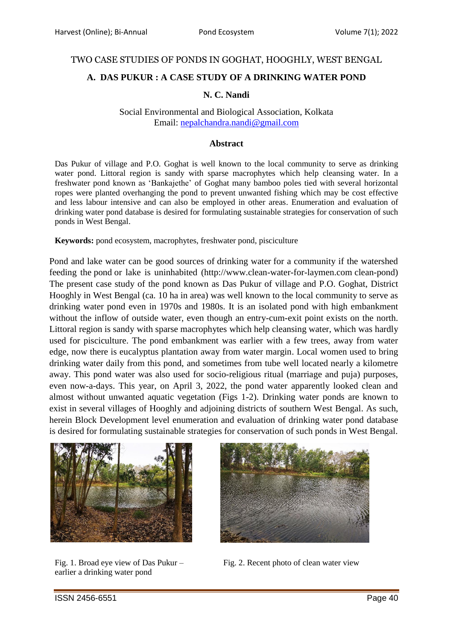### TWO CASE STUDIES OF PONDS IN GOGHAT, HOOGHLY, WEST BENGAL

# **A. DAS PUKUR : A CASE STUDY OF A DRINKING WATER POND**

### **N. C. Nandi**

Social Environmental and Biological Association, Kolkata Email: [nepalchandra.nandi@gmail.com](mailto:nepalchandra.nandi@gmail.com)

#### **Abstract**

Das Pukur of village and P.O. Goghat is well known to the local community to serve as drinking water pond. Littoral region is sandy with sparse macrophytes which help cleansing water. In a freshwater pond known as 'Bankajethe' of Goghat many bamboo poles tied with several horizontal ropes were planted overhanging the pond to prevent unwanted fishing which may be cost effective and less labour intensive and can also be employed in other areas. Enumeration and evaluation of drinking water pond database is desired for formulating sustainable strategies for conservation of such ponds in West Bengal.

**Keywords:** pond ecosystem, macrophytes, freshwater pond, pisciculture

Pond and lake water can be good sources of drinking water for a community if the watershed feeding the pond or lake is uninhabited (http://www.clean-water-for-laymen.com clean-pond) The present case study of the pond known as Das Pukur of village and P.O. Goghat, District Hooghly in West Bengal (ca. 10 ha in area) was well known to the local community to serve as drinking water pond even in 1970s and 1980s. It is an isolated pond with high embankment without the inflow of outside water, even though an entry-cum-exit point exists on the north. Littoral region is sandy with sparse macrophytes which help cleansing water, which was hardly used for pisciculture. The pond embankment was earlier with a few trees, away from water edge, now there is eucalyptus plantation away from water margin. Local women used to bring drinking water daily from this pond, and sometimes from tube well located nearly a kilometre away. This pond water was also used for socio-religious ritual (marriage and puja) purposes, even now-a-days. This year, on April 3, 2022, the pond water apparently looked clean and almost without unwanted aquatic vegetation (Figs 1-2). Drinking water ponds are known to exist in several villages of Hooghly and adjoining districts of southern West Bengal. As such, herein Block Development level enumeration and evaluation of drinking water pond database is desired for formulating sustainable strategies for conservation of such ponds in West Bengal.